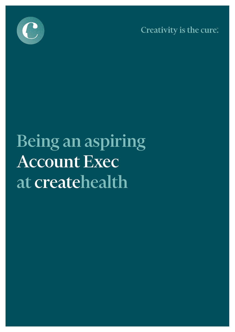

Creativity is the cure.

# Being an aspiring **Account Exec** at createhealth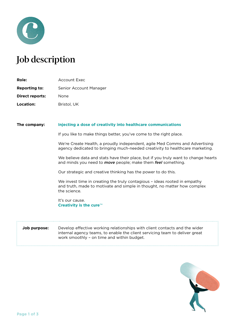

## Job description

| Role:                  | Account Exec           |
|------------------------|------------------------|
| <b>Reporting to:</b>   | Senior Account Manager |
| <b>Direct reports:</b> | None                   |
| Location:              | Bristol, UK            |

#### **The company: Injecting a dose of creativity into healthcare communications**

If you like to make things better, you've come to the right place.

We're Create Health, a proudly independent, agile Med Comms and Advertising agency dedicated to bringing much-needed creativity to healthcare marketing.

We believe data and stats have their place, but if you truly want to change hearts and minds you need to *move* people; make them *feel* something.

Our strategic and creative thinking has the power to do this.

We invest time in creating the truly contagious – ideas rooted in empathy and truth, made to motivate and simple in thought, no matter how complex the science.

It's our cause. **Creativity is the cure**™

### **Job purpose:** Develop effective working relationships with client contacts and the wider internal agency teams, to enable the client servicing team to deliver great work smoothly – on time and within budget.

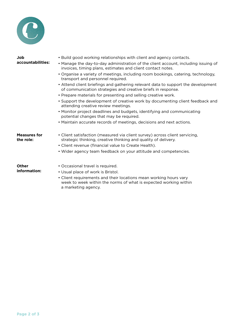

| Job<br>accountabilities:         | . Build good working relationships with client and agency contacts.<br>• Manage the day-to-day administration of the client account, including issuing of<br>invoices, timing plans, estimates and client contact notes. |  |  |
|----------------------------------|--------------------------------------------------------------------------------------------------------------------------------------------------------------------------------------------------------------------------|--|--|
|                                  | • Organise a variety of meetings, including room bookings, catering, technology,<br>transport and personnel required.                                                                                                    |  |  |
|                                  | • Attend client briefings and gathering relevant data to support the development<br>of communication strategies and creative briefs in response.                                                                         |  |  |
|                                  | • Prepare materials for presenting and selling creative work.                                                                                                                                                            |  |  |
|                                  | • Support the development of creative work by documenting client feedback and<br>attending creative review meetings.                                                                                                     |  |  |
|                                  | • Monitor project deadlines and budgets, identifying and communicating<br>potential changes that may be required.                                                                                                        |  |  |
|                                  | • Maintain accurate records of meetings, decisions and next actions.                                                                                                                                                     |  |  |
| <b>Measures for</b><br>the role: | • Client satisfaction (measured via client survey) across client servicing,<br>strategic thinking, creative thinking and quality of delivery.                                                                            |  |  |
|                                  | • Client revenue (financial value to Create Health).                                                                                                                                                                     |  |  |
|                                  | • Wider agency team feedback on your attitude and competencies.                                                                                                                                                          |  |  |
| Other                            | • Occasional travel is required.                                                                                                                                                                                         |  |  |
| information:                     | • Usual place of work is Bristol.                                                                                                                                                                                        |  |  |
|                                  | • Client requirements and their locations mean working hours vary<br>week to week within the norms of what is expected working within                                                                                    |  |  |

a marketing agency.